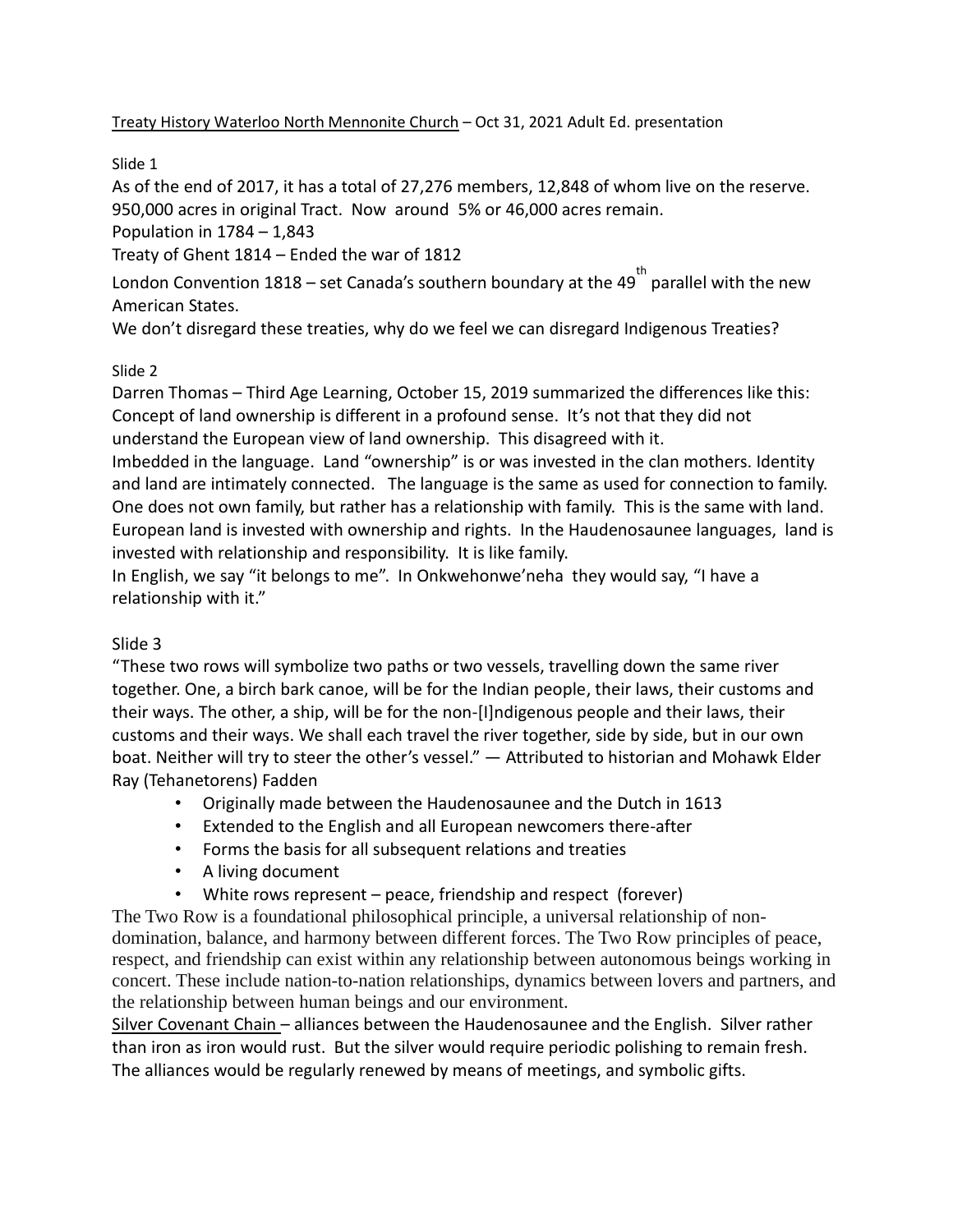Treaty History Waterloo North Mennonite Church – Oct 31, 2021 Adult Ed. presentation

Slide 1

As of the end of 2017, it has a total of 27,276 members, 12,848 of whom live on the reserve. 950,000 acres in original Tract. Now around 5% or 46,000 acres remain.

Population in  $1784 - 1,843$ 

Treaty of Ghent 1814 – Ended the war of 1812

London Convention 1818 – set Canada's southern boundary at the 49 $^{\text{th}}$  parallel with the new American States.

We don't disregard these treaties, why do we feel we can disregard Indigenous Treaties?

#### Slide 2

Darren Thomas – Third Age Learning, October 15, 2019 summarized the differences like this: Concept of land ownership is different in a profound sense. It's not that they did not understand the European view of land ownership. This disagreed with it.

Imbedded in the language. Land "ownership" is or was invested in the clan mothers. Identity and land are intimately connected. The language is the same as used for connection to family. One does not own family, but rather has a relationship with family. This is the same with land. European land is invested with ownership and rights. In the Haudenosaunee languages, land is invested with relationship and responsibility. It is like family.

In English, we say "it belongs to me". In Onkwehonwe'neha they would say, "I have a relationship with it."

## Slide 3

"These two rows will symbolize two paths or two vessels, travelling down the same river together. One, a birch bark canoe, will be for the Indian people, their laws, their customs and their ways. The other, a ship, will be for the non-[I]ndigenous people and their laws, their customs and their ways. We shall each travel the river together, side by side, but in our own boat. Neither will try to steer the other's vessel." — Attributed to historian and Mohawk Elder Ray (Tehanetorens) Fadden

- Originally made between the Haudenosaunee and the Dutch in 1613
- Extended to the English and all European newcomers there-after
- Forms the basis for all subsequent relations and treaties
- A living document
- White rows represent peace, friendship and respect (forever)

The Two Row is a foundational philosophical principle, a universal relationship of nondomination, balance, and harmony between different forces. The Two Row principles of peace, respect, and friendship can exist within any relationship between autonomous beings working in concert. These include nation-to-nation relationships, dynamics between lovers and partners, and the relationship between human beings and our environment.

Silver Covenant Chain – alliances between the Haudenosaunee and the English. Silver rather than iron as iron would rust. But the silver would require periodic polishing to remain fresh. The alliances would be regularly renewed by means of meetings, and symbolic gifts.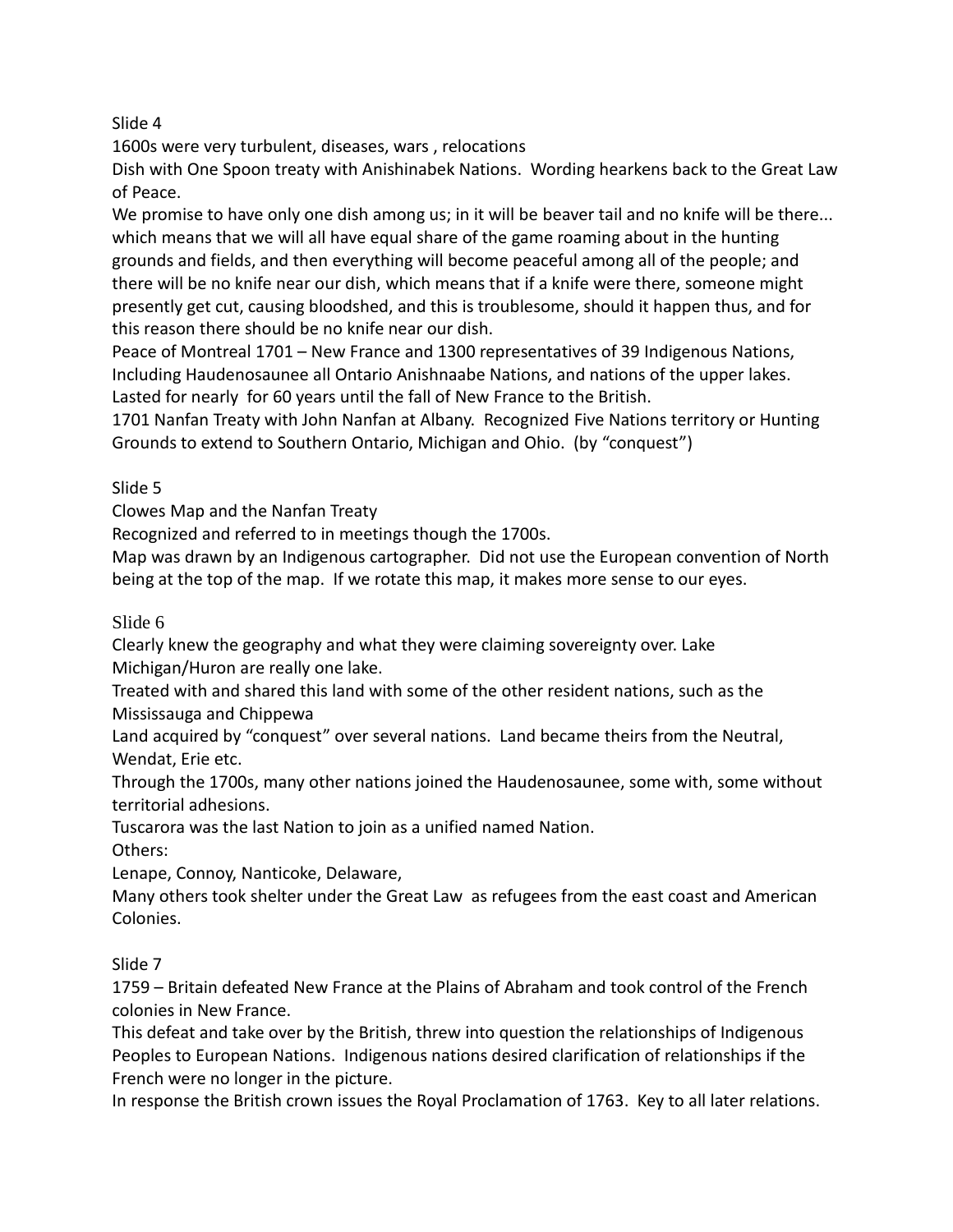1600s were very turbulent, diseases, wars , relocations

Dish with One Spoon treaty with Anishinabek Nations. Wording hearkens back to the Great Law of Peace.

We promise to have only one dish among us; in it will be beaver tail and no knife will be there... which means that we will all have equal share of the game roaming about in the hunting grounds and fields, and then everything will become peaceful among all of the people; and there will be no knife near our dish, which means that if a knife were there, someone might presently get cut, causing bloodshed, and this is troublesome, should it happen thus, and for this reason there should be no knife near our dish.

Peace of Montreal 1701 – New France and 1300 representatives of 39 Indigenous Nations, Including Haudenosaunee all Ontario Anishnaabe Nations, and nations of the upper lakes. Lasted for nearly for 60 years until the fall of New France to the British.

1701 Nanfan Treaty with John Nanfan at Albany. Recognized Five Nations territory or Hunting Grounds to extend to Southern Ontario, Michigan and Ohio. (by "conquest")

Slide 5

Clowes Map and the Nanfan Treaty

Recognized and referred to in meetings though the 1700s.

Map was drawn by an Indigenous cartographer. Did not use the European convention of North being at the top of the map. If we rotate this map, it makes more sense to our eyes.

# Slide 6

Clearly knew the geography and what they were claiming sovereignty over. Lake Michigan/Huron are really one lake.

Treated with and shared this land with some of the other resident nations, such as the Mississauga and Chippewa

Land acquired by "conquest" over several nations. Land became theirs from the Neutral, Wendat, Erie etc.

Through the 1700s, many other nations joined the Haudenosaunee, some with, some without territorial adhesions.

Tuscarora was the last Nation to join as a unified named Nation.

Others:

Lenape, Connoy, Nanticoke, Delaware,

Many others took shelter under the Great Law as refugees from the east coast and American Colonies.

# Slide 7

1759 – Britain defeated New France at the Plains of Abraham and took control of the French colonies in New France.

This defeat and take over by the British, threw into question the relationships of Indigenous Peoples to European Nations. Indigenous nations desired clarification of relationships if the French were no longer in the picture.

In response the British crown issues the Royal Proclamation of 1763. Key to all later relations.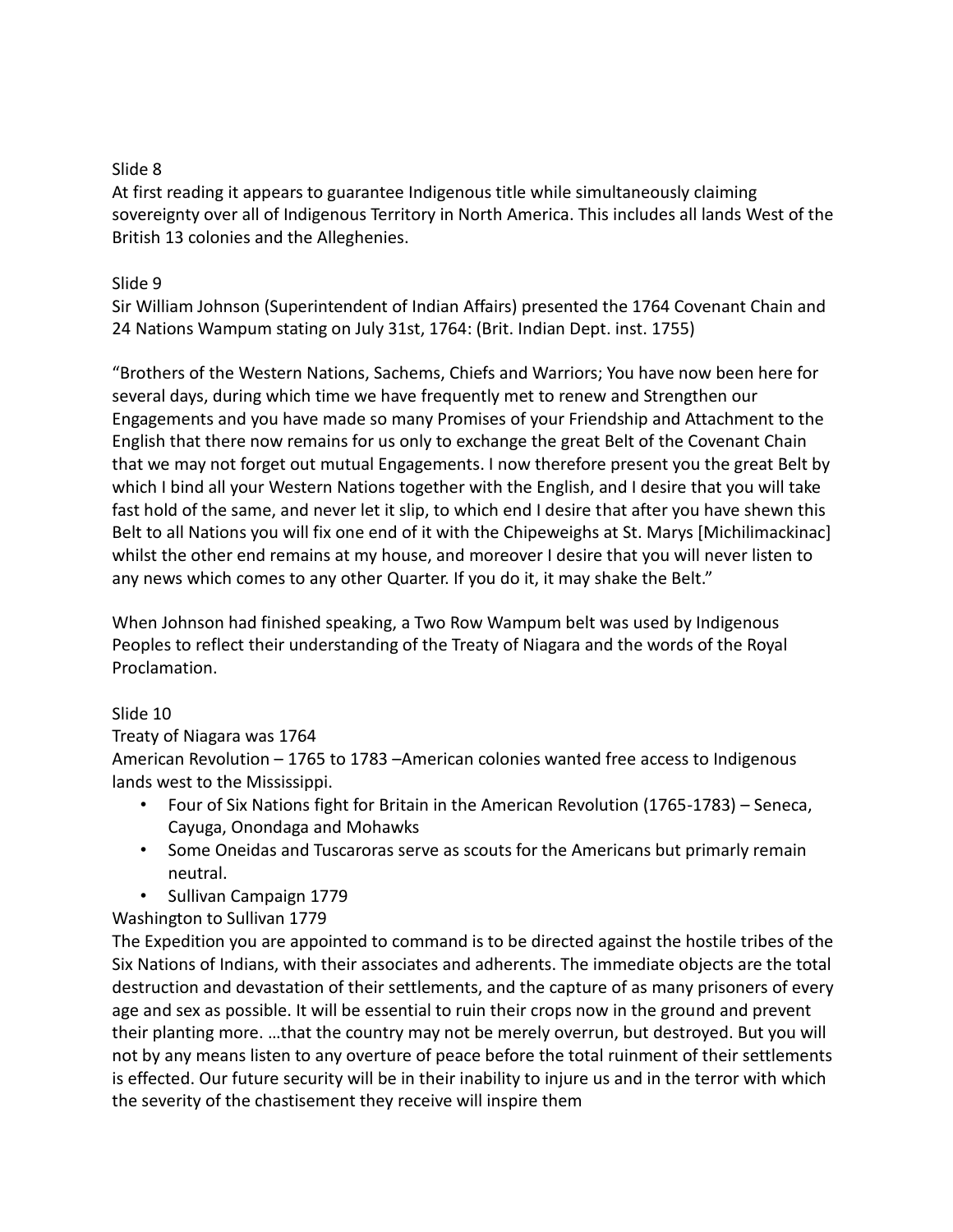At first reading it appears to guarantee Indigenous title while simultaneously claiming sovereignty over all of Indigenous Territory in North America. This includes all lands West of the British 13 colonies and the Alleghenies.

#### Slide 9

Sir William Johnson (Superintendent of Indian Affairs) presented the 1764 Covenant Chain and 24 Nations Wampum stating on July 31st, 1764: (Brit. Indian Dept. inst. 1755)

"Brothers of the Western Nations, Sachems, Chiefs and Warriors; You have now been here for several days, during which time we have frequently met to renew and Strengthen our Engagements and you have made so many Promises of your Friendship and Attachment to the English that there now remains for us only to exchange the great Belt of the Covenant Chain that we may not forget out mutual Engagements. I now therefore present you the great Belt by which I bind all your Western Nations together with the English, and I desire that you will take fast hold of the same, and never let it slip, to which end I desire that after you have shewn this Belt to all Nations you will fix one end of it with the Chipeweighs at St. Marys [Michilimackinac] whilst the other end remains at my house, and moreover I desire that you will never listen to any news which comes to any other Quarter. If you do it, it may shake the Belt."

When Johnson had finished speaking, a Two Row Wampum belt was used by Indigenous Peoples to reflect their understanding of the Treaty of Niagara and the words of the Royal Proclamation.

## Slide 10

## Treaty of Niagara was 1764

American Revolution – 1765 to 1783 –American colonies wanted free access to Indigenous lands west to the Mississippi.

- Four of Six Nations fight for Britain in the American Revolution (1765-1783) Seneca, Cayuga, Onondaga and Mohawks
- Some Oneidas and Tuscaroras serve as scouts for the Americans but primarly remain neutral.
- Sullivan Campaign 1779

## Washington to Sullivan 1779

The Expedition you are appointed to command is to be directed against the hostile tribes of the Six Nations of Indians, with their associates and adherents. The immediate objects are the total destruction and devastation of their settlements, and the capture of as many prisoners of every age and sex as possible. It will be essential to ruin their crops now in the ground and prevent their planting more. …that the country may not be merely overrun, but destroyed. But you will not by any means listen to any overture of peace before the total ruinment of their settlements is effected. Our future security will be in their inability to injure us and in the terror with which the severity of the chastisement they receive will inspire them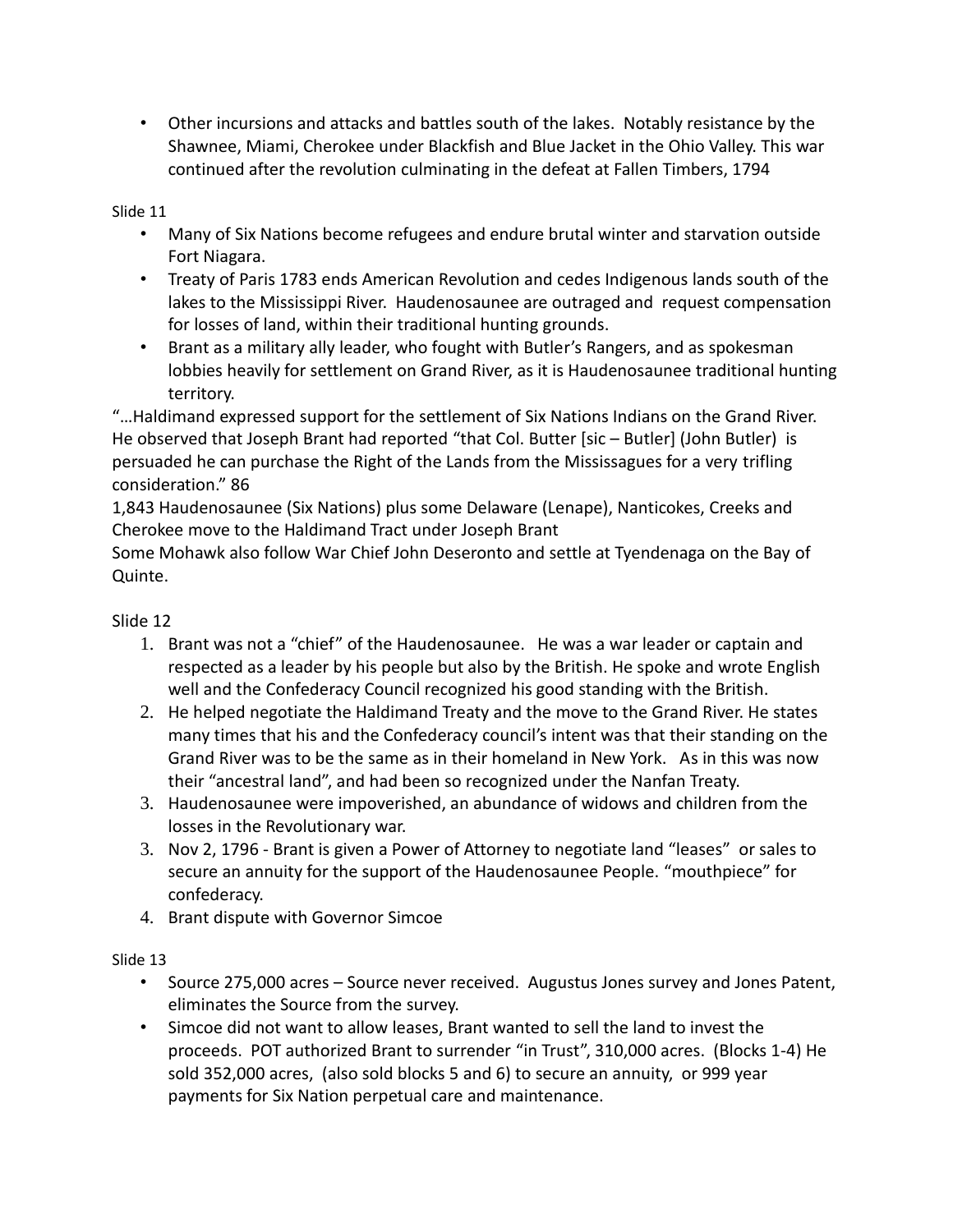• Other incursions and attacks and battles south of the lakes. Notably resistance by the Shawnee, Miami, Cherokee under Blackfish and Blue Jacket in the Ohio Valley. This war continued after the revolution culminating in the defeat at Fallen Timbers, 1794

#### Slide 11

- Many of Six Nations become refugees and endure brutal winter and starvation outside Fort Niagara.
- Treaty of Paris 1783 ends American Revolution and cedes Indigenous lands south of the lakes to the Mississippi River. Haudenosaunee are outraged and request compensation for losses of land, within their traditional hunting grounds.
- Brant as a military ally leader, who fought with Butler's Rangers, and as spokesman lobbies heavily for settlement on Grand River, as it is Haudenosaunee traditional hunting territory.

"…Haldimand expressed support for the settlement of Six Nations Indians on the Grand River. He observed that Joseph Brant had reported "that Col. Butter [sic – Butler] (John Butler) is persuaded he can purchase the Right of the Lands from the Mississagues for a very trifling consideration." 86

1,843 Haudenosaunee (Six Nations) plus some Delaware (Lenape), Nanticokes, Creeks and Cherokee move to the Haldimand Tract under Joseph Brant

Some Mohawk also follow War Chief John Deseronto and settle at Tyendenaga on the Bay of Quinte.

## Slide 12

- 1. Brant was not a "chief" of the Haudenosaunee. He was a war leader or captain and respected as a leader by his people but also by the British. He spoke and wrote English well and the Confederacy Council recognized his good standing with the British.
- 2. He helped negotiate the Haldimand Treaty and the move to the Grand River. He states many times that his and the Confederacy council's intent was that their standing on the Grand River was to be the same as in their homeland in New York. As in this was now their "ancestral land", and had been so recognized under the Nanfan Treaty.
- 3. Haudenosaunee were impoverished, an abundance of widows and children from the losses in the Revolutionary war.
- 3. Nov 2, 1796 Brant is given a Power of Attorney to negotiate land "leases" or sales to secure an annuity for the support of the Haudenosaunee People. "mouthpiece" for confederacy.
- 4. Brant dispute with Governor Simcoe

## Slide 13

- Source 275,000 acres Source never received. Augustus Jones survey and Jones Patent, eliminates the Source from the survey.
- Simcoe did not want to allow leases, Brant wanted to sell the land to invest the proceeds. POT authorized Brant to surrender "in Trust", 310,000 acres. (Blocks 1-4) He sold 352,000 acres, (also sold blocks 5 and 6) to secure an annuity, or 999 year payments for Six Nation perpetual care and maintenance.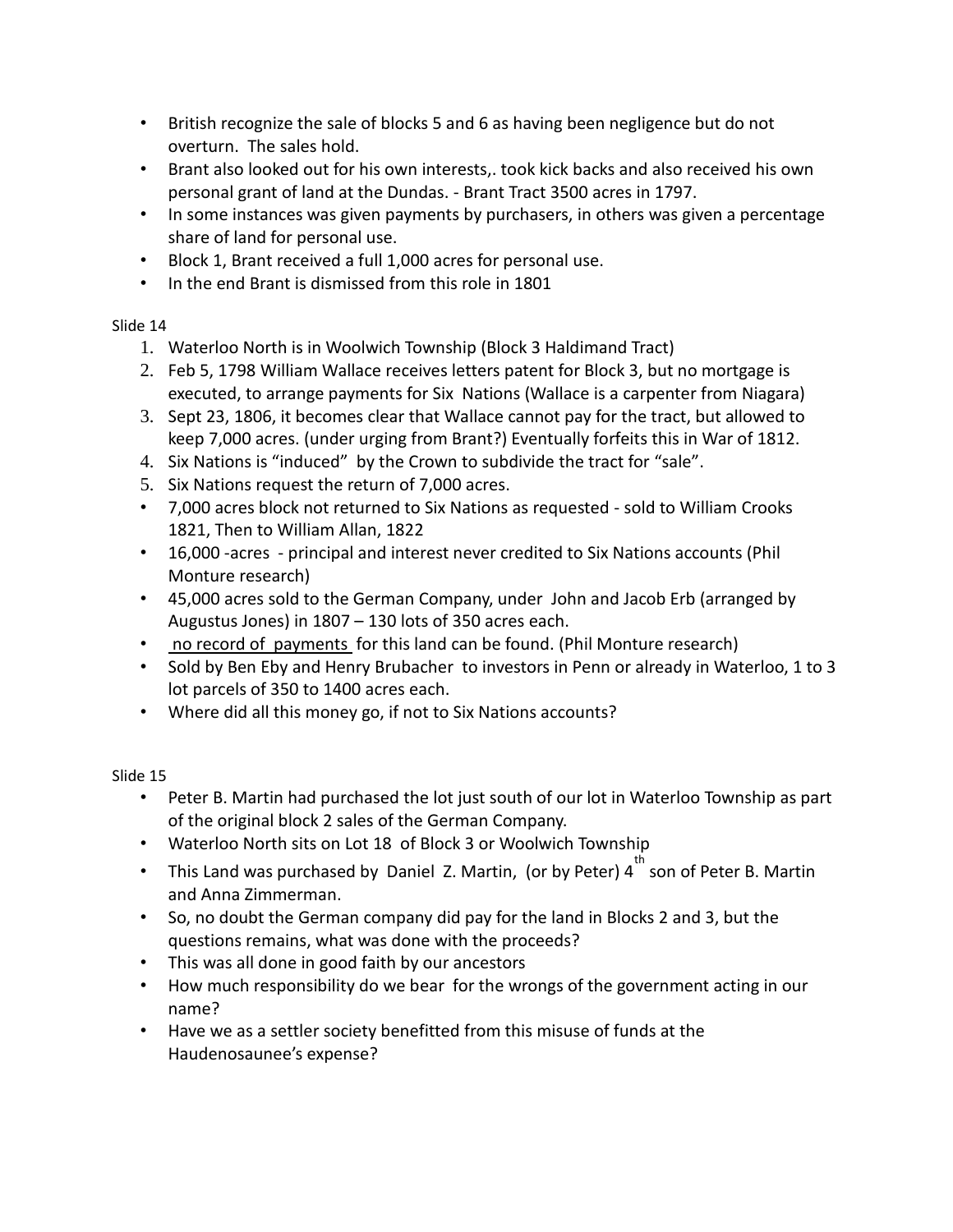- British recognize the sale of blocks 5 and 6 as having been negligence but do not overturn. The sales hold.
- Brant also looked out for his own interests,. took kick backs and also received his own personal grant of land at the Dundas. - Brant Tract 3500 acres in 1797.
- In some instances was given payments by purchasers, in others was given a percentage share of land for personal use.
- Block 1, Brant received a full 1,000 acres for personal use.
- In the end Brant is dismissed from this role in 1801

- 1. Waterloo North is in Woolwich Township (Block 3 Haldimand Tract)
- 2. Feb 5, 1798 William Wallace receives letters patent for Block 3, but no mortgage is executed, to arrange payments for Six Nations (Wallace is a carpenter from Niagara)
- 3. Sept 23, 1806, it becomes clear that Wallace cannot pay for the tract, but allowed to keep 7,000 acres. (under urging from Brant?) Eventually forfeits this in War of 1812.
- 4. Six Nations is "induced" by the Crown to subdivide the tract for "sale".
- 5. Six Nations request the return of 7,000 acres.
- 7,000 acres block not returned to Six Nations as requested sold to William Crooks 1821, Then to William Allan, 1822
- 16,000 -acres principal and interest never credited to Six Nations accounts (Phil Monture research)
- 45,000 acres sold to the German Company, under John and Jacob Erb (arranged by Augustus Jones) in 1807 – 130 lots of 350 acres each.
- no record of payments for this land can be found. (Phil Monture research)
- Sold by Ben Eby and Henry Brubacher to investors in Penn or already in Waterloo, 1 to 3 lot parcels of 350 to 1400 acres each.
- Where did all this money go, if not to Six Nations accounts?

# Slide 15

- Peter B. Martin had purchased the lot just south of our lot in Waterloo Township as part of the original block 2 sales of the German Company.
- Waterloo North sits on Lot 18 of Block 3 or Woolwich Township
- This Land was purchased by Daniel Z. Martin, (or by Peter)  $4^{th}$  son of Peter B. Martin and Anna Zimmerman.
- So, no doubt the German company did pay for the land in Blocks 2 and 3, but the questions remains, what was done with the proceeds?
- This was all done in good faith by our ancestors
- How much responsibility do we bear for the wrongs of the government acting in our name?
- Have we as a settler society benefitted from this misuse of funds at the Haudenosaunee's expense?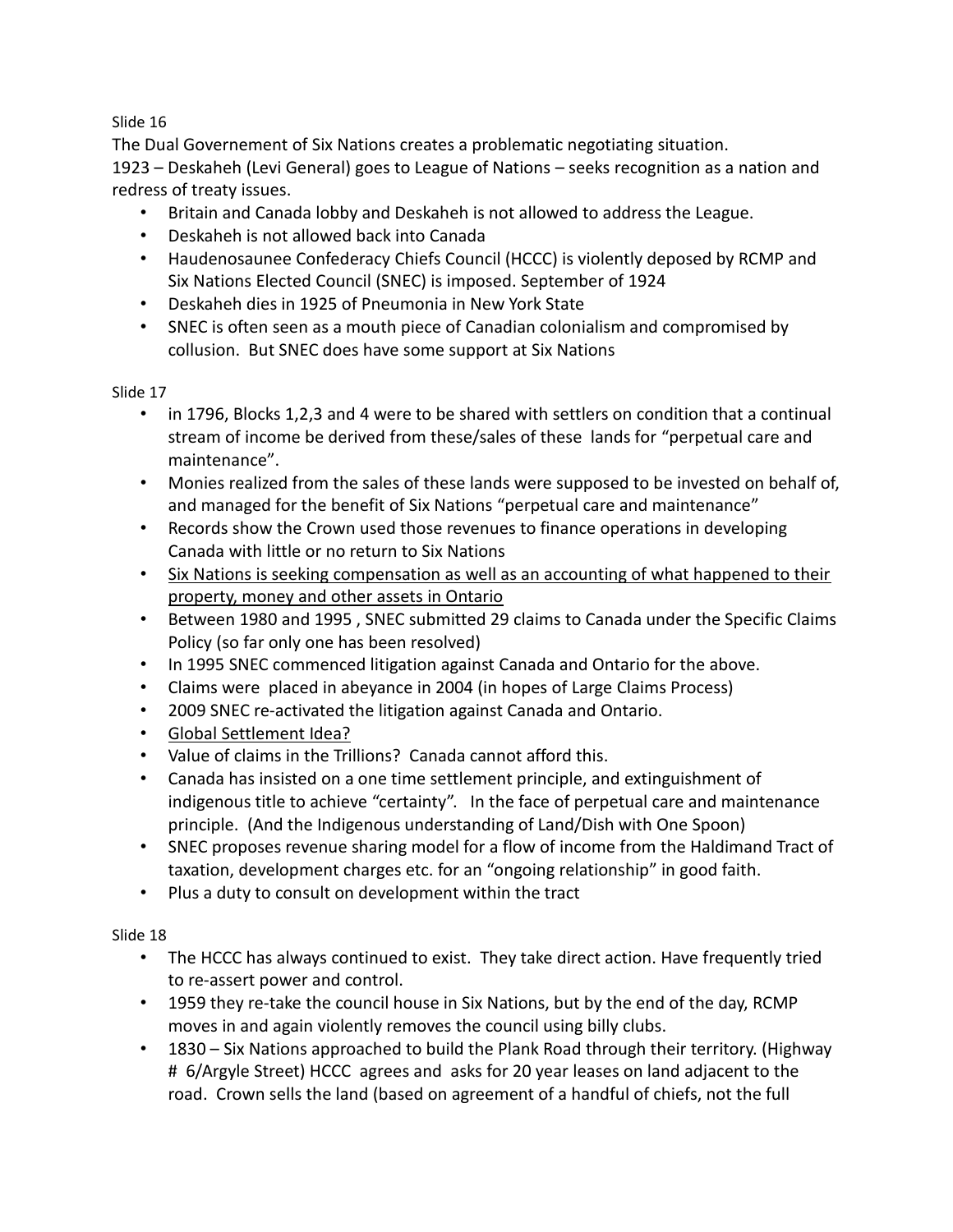The Dual Governement of Six Nations creates a problematic negotiating situation. 1923 – Deskaheh (Levi General) goes to League of Nations – seeks recognition as a nation and redress of treaty issues.

- Britain and Canada lobby and Deskaheh is not allowed to address the League.
- Deskaheh is not allowed back into Canada
- Haudenosaunee Confederacy Chiefs Council (HCCC) is violently deposed by RCMP and Six Nations Elected Council (SNEC) is imposed. September of 1924
- Deskaheh dies in 1925 of Pneumonia in New York State
- SNEC is often seen as a mouth piece of Canadian colonialism and compromised by collusion. But SNEC does have some support at Six Nations

#### Slide 17

- in 1796, Blocks 1,2,3 and 4 were to be shared with settlers on condition that a continual stream of income be derived from these/sales of these lands for "perpetual care and maintenance".
- Monies realized from the sales of these lands were supposed to be invested on behalf of, and managed for the benefit of Six Nations "perpetual care and maintenance"
- Records show the Crown used those revenues to finance operations in developing Canada with little or no return to Six Nations
- Six Nations is seeking compensation as well as an accounting of what happened to their property, money and other assets in Ontario
- Between 1980 and 1995 , SNEC submitted 29 claims to Canada under the Specific Claims Policy (so far only one has been resolved)
- In 1995 SNEC commenced litigation against Canada and Ontario for the above.
- Claims were placed in abeyance in 2004 (in hopes of Large Claims Process)
- 2009 SNEC re-activated the litigation against Canada and Ontario.
- Global Settlement Idea?
- Value of claims in the Trillions? Canada cannot afford this.
- Canada has insisted on a one time settlement principle, and extinguishment of indigenous title to achieve "certainty". In the face of perpetual care and maintenance principle. (And the Indigenous understanding of Land/Dish with One Spoon)
- SNEC proposes revenue sharing model for a flow of income from the Haldimand Tract of taxation, development charges etc. for an "ongoing relationship" in good faith.
- Plus a duty to consult on development within the tract

## Slide 18

- The HCCC has always continued to exist. They take direct action. Have frequently tried to re-assert power and control.
- 1959 they re-take the council house in Six Nations, but by the end of the day, RCMP moves in and again violently removes the council using billy clubs.
- 1830 Six Nations approached to build the Plank Road through their territory. (Highway # 6/Argyle Street) HCCC agrees and asks for 20 year leases on land adjacent to the road. Crown sells the land (based on agreement of a handful of chiefs, not the full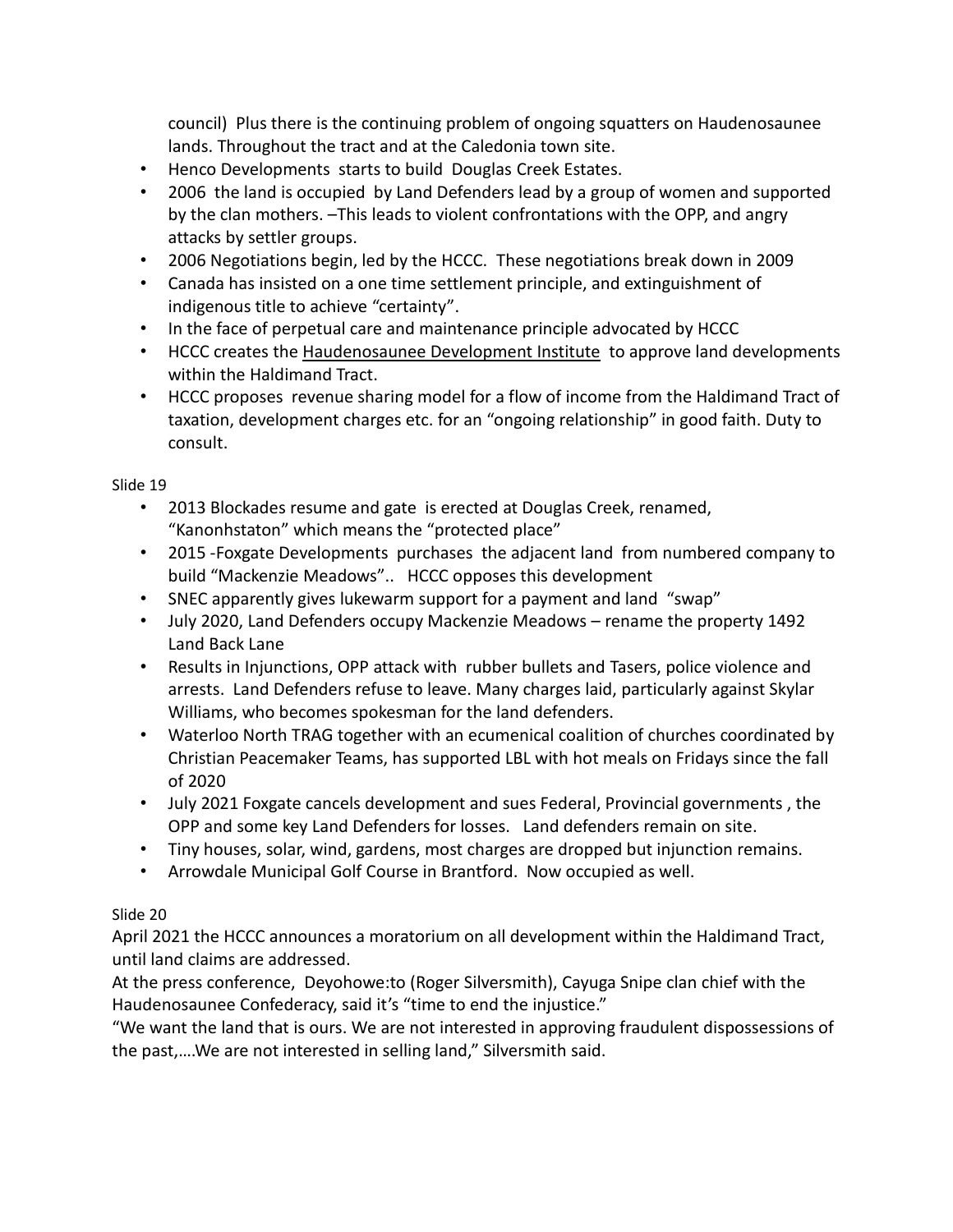council) Plus there is the continuing problem of ongoing squatters on Haudenosaunee lands. Throughout the tract and at the Caledonia town site.

- Henco Developments starts to build Douglas Creek Estates.
- 2006 the land is occupied by Land Defenders lead by a group of women and supported by the clan mothers. –This leads to violent confrontations with the OPP, and angry attacks by settler groups.
- 2006 Negotiations begin, led by the HCCC. These negotiations break down in 2009
- Canada has insisted on a one time settlement principle, and extinguishment of indigenous title to achieve "certainty".
- In the face of perpetual care and maintenance principle advocated by HCCC
- HCCC creates the Haudenosaunee Development Institute to approve land developments within the Haldimand Tract.
- HCCC proposes revenue sharing model for a flow of income from the Haldimand Tract of taxation, development charges etc. for an "ongoing relationship" in good faith. Duty to consult.

Slide 19

- 2013 Blockades resume and gate is erected at Douglas Creek, renamed, "Kanonhstaton" which means the "protected place"
- 2015 -Foxgate Developments purchases the adjacent land from numbered company to build "Mackenzie Meadows".. HCCC opposes this development
- SNEC apparently gives lukewarm support for a payment and land "swap"
- July 2020, Land Defenders occupy Mackenzie Meadows rename the property 1492 Land Back Lane
- Results in Injunctions, OPP attack with rubber bullets and Tasers, police violence and arrests. Land Defenders refuse to leave. Many charges laid, particularly against Skylar Williams, who becomes spokesman for the land defenders.
- Waterloo North TRAG together with an ecumenical coalition of churches coordinated by Christian Peacemaker Teams, has supported LBL with hot meals on Fridays since the fall of 2020
- July 2021 Foxgate cancels development and sues Federal, Provincial governments , the OPP and some key Land Defenders for losses. Land defenders remain on site.
- Tiny houses, solar, wind, gardens, most charges are dropped but injunction remains.
- Arrowdale Municipal Golf Course in Brantford. Now occupied as well.

## Slide 20

April 2021 the HCCC announces a moratorium on all development within the Haldimand Tract, until land claims are addressed.

At the press conference, Deyohowe:to (Roger Silversmith), Cayuga Snipe clan chief with the Haudenosaunee Confederacy, said it's "time to end the injustice."

"We want the land that is ours. We are not interested in approving fraudulent dispossessions of the past,….We are not interested in selling land," Silversmith said.